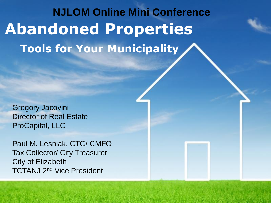# **Abandoned Properties Tools for Your Municipality NJLOM Online Mini Conference**

**Page 1**

Gregory Jacovini Director of Real Estate ProCapital, LLC

Paul M. Lesniak, CTC/ CMFO Tax Collector/ City Treasurer City of Elizabeth TCTANJ 2nd Vice President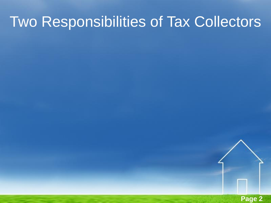# Two Responsibilities of Tax Collectors

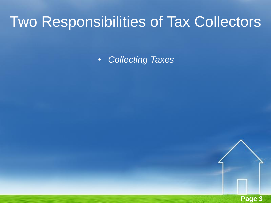# Two Responsibilities of Tax Collectors

• *Collecting Taxes*

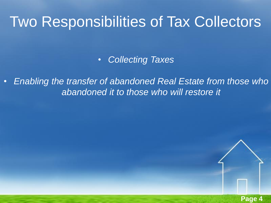## Two Responsibilities of Tax Collectors

• *Collecting Taxes*

• *Enabling the transfer of abandoned Real Estate from those who abandoned it to those who will restore it*

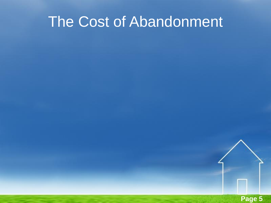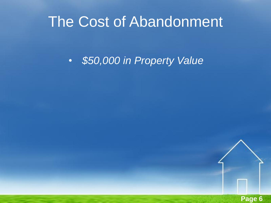• *\$50,000 in Property Value*

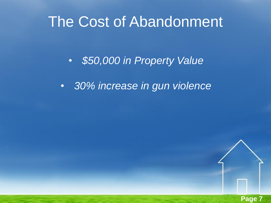• *\$50,000 in Property Value*

• *30% increase in gun violence*

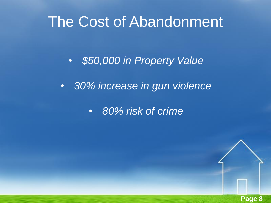• *\$50,000 in Property Value*

• *30% increase in gun violence*

• *80% risk of crime*

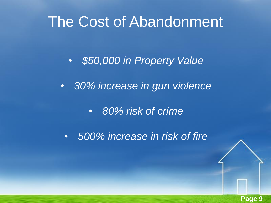• *\$50,000 in Property Value*

• *30% increase in gun violence*

• *80% risk of crime*

• *500% increase in risk of fire*

**Page 9**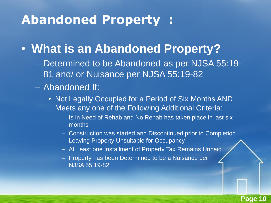### **Abandoned Property :**

#### • **What is an Abandoned Property?**

- Determined to be Abandoned as per NJSA 55:19- 81 and/ or Nuisance per NJSA 55:19-82
- Abandoned If:
	- Not Legally Occupied for a Period of Six Months AND Meets any one of the Following Additional Criteria:
		- Is in Need of Rehab and No Rehab has taken place in last six months
		- Construction was started and Discontinued prior to Completion Leaving Property Unsuitable for Occupancy

**Page 10**

- At Least one Installment of Property Tax Remains Unpaid
- Property has been Determined to be a Nuisance per NJSA 55:19-82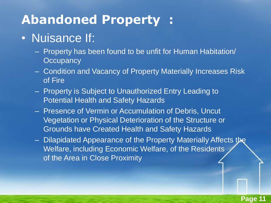## **Abandoned Property :**

#### • Nuisance If:

- Property has been found to be unfit for Human Habitation/ **Occupancy**
- Condition and Vacancy of Property Materially Increases Risk of Fire
- Property is Subject to Unauthorized Entry Leading to Potential Health and Safety Hazards
- Presence of Vermin or Accumulation of Debris, Uncut Vegetation or Physical Deterioration of the Structure or Grounds have Created Health and Safety Hazards
- Dilapidated Appearance of the Property Materially Affects the Welfare, including Economic Welfare, of the Residents of the Area in Close Proximity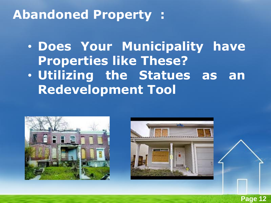## **Abandoned Property :**

• **Does Your Municipality have Properties like These?** • **Utilizing the Statues as an Redevelopment Tool**





**Page 12**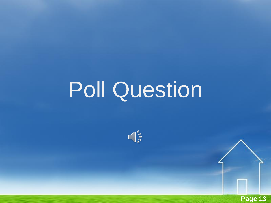# Poll Question



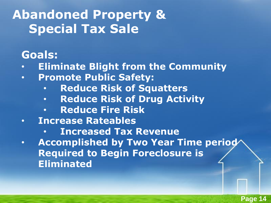#### **Goals:**

- **Eliminate Blight from the Community**
- **Promote Public Safety:**
	- **Reduce Risk of Squatters**
	- **Reduce Risk of Drug Activity**
	- **Reduce Fire Risk**
- **Increase Rateables**
	- **Increased Tax Revenue**
- **Accomplished by Two Year Time period Required to Begin Foreclosure is Eliminated**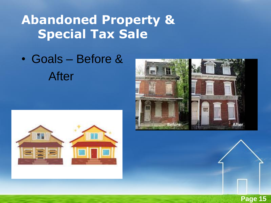• Goals – Before & After





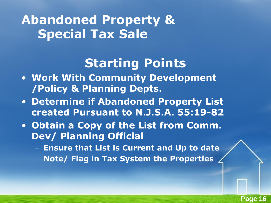## **Starting Points**

- **Work With Community Development /Policy & Planning Depts.**
- **Determine if Abandoned Property List created Pursuant to N.J.S.A. 55:19-82**
- **Obtain a Copy of the List from Comm. Dev/ Planning Official**
	- **Ensure that List is Current and Up to date**
	- **Note/ Flag in Tax System the Properties**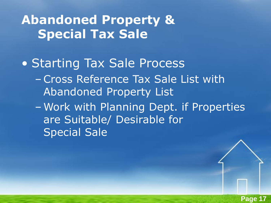- Starting Tax Sale Process
	- –Cross Reference Tax Sale List with Abandoned Property List
	- Work with Planning Dept. if Properties are Suitable/ Desirable for Special Sale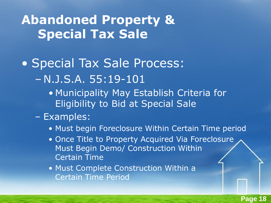- Special Tax Sale Process: – N.J.S.A. 55:19-101
	- Municipality May Establish Criteria for Eligibility to Bid at Special Sale
	- Examples:
		- Must begin Foreclosure Within Certain Time period
		- Once Title to Property Acquired Via Foreclosure Must Begin Demo/ Construction Within Certain Time
		- Must Complete Construction Within a Certain Time Period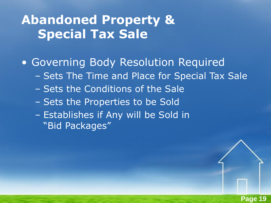• Governing Body Resolution Required

- Sets The Time and Place for Special Tax Sale
- Sets the Conditions of the Sale
- Sets the Properties to be Sold
- Establishes if Any will be Sold in "Bid Packages"

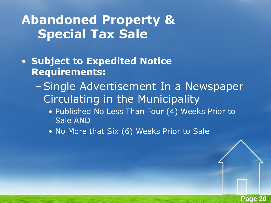- **Subject to Expedited Notice Requirements:**
	- –Single Advertisement In a Newspaper Circulating in the Municipality
		- Published No Less Than Four (4) Weeks Prior to Sale AND

**Page 20**

• No More that Six (6) Weeks Prior to Sale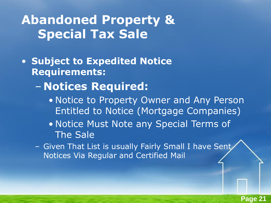- **Subject to Expedited Notice Requirements:**
	- **Notices Required:**
		- Notice to Property Owner and Any Person Entitled to Notice (Mortgage Companies)
		- Notice Must Note any Special Terms of The Sale
	- Given That List is usually Fairly Small I have Sent Notices Via Regular and Certified Mail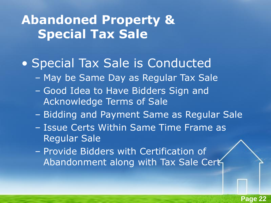#### • Special Tax Sale is Conducted

- May be Same Day as Regular Tax Sale
- Good Idea to Have Bidders Sign and Acknowledge Terms of Sale
- Bidding and Payment Same as Regular Sale
- Issue Certs Within Same Time Frame as Regular Sale
- Provide Bidders with Certification of Abandonment along with Tax Sale Cert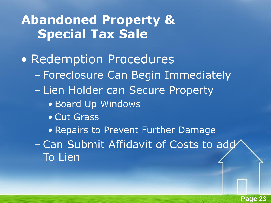- Redemption Procedures
	- Foreclosure Can Begin Immediately
	- Lien Holder can Secure Property
		- Board Up Windows
		- Cut Grass

• Repairs to Prevent Further Damage

–Can Submit Affidavit of Costs to add To Lien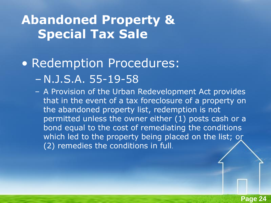#### • Redemption Procedures: – N.J.S.A. 55-19-58

– A Provision of the Urban Redevelopment Act provides that in the event of a tax foreclosure of a property on the abandoned property list, redemption is not permitted unless the owner either (1) posts cash or a bond equal to the cost of remediating the conditions which led to the property being placed on the list; or (2) remedies the conditions in full.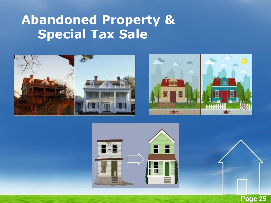





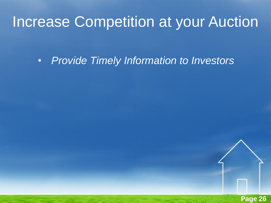# Increase Competition at your Auction

• *Provide Timely Information to Investors*

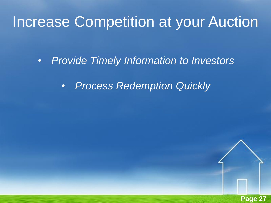## Increase Competition at your Auction

• *Provide Timely Information to Investors*

• *Process Redemption Quickly*

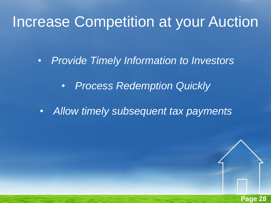## Increase Competition at your Auction

• *Provide Timely Information to Investors*

• *Process Redemption Quickly*

• *Allow timely subsequent tax payments*

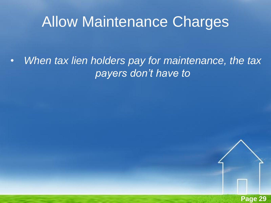# Allow Maintenance Charges

• *When tax lien holders pay for maintenance, the tax payers don't have to*

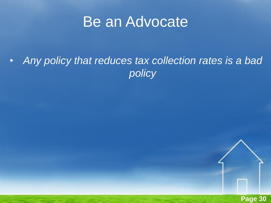## Be an Advocate

• *Any policy that reduces tax collection rates is a bad policy*